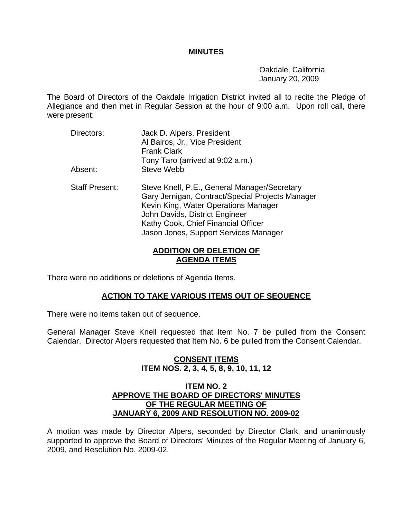#### **MINUTES**

 Oakdale, California January 20, 2009

The Board of Directors of the Oakdale Irrigation District invited all to recite the Pledge of Allegiance and then met in Regular Session at the hour of 9:00 a.m. Upon roll call, there were present:

- Directors: Jack D. Alpers, President Al Bairos, Jr., Vice President Frank Clark Tony Taro (arrived at 9:02 a.m.) Absent: Steve Webb
- Staff Present: Steve Knell, P.E., General Manager/Secretary Gary Jernigan, Contract/Special Projects Manager Kevin King, Water Operations Manager John Davids, District Engineer Kathy Cook, Chief Financial Officer Jason Jones, Support Services Manager

## **ADDITION OR DELETION OF AGENDA ITEMS**

There were no additions or deletions of Agenda Items.

### **ACTION TO TAKE VARIOUS ITEMS OUT OF SEQUENCE**

There were no items taken out of sequence.

General Manager Steve Knell requested that Item No. 7 be pulled from the Consent Calendar. Director Alpers requested that Item No. 6 be pulled from the Consent Calendar.

## **CONSENT ITEMS ITEM NOS. 2, 3, 4, 5, 8, 9, 10, 11, 12**

#### **ITEM NO. 2 APPROVE THE BOARD OF DIRECTORS' MINUTES OF THE REGULAR MEETING OF JANUARY 6, 2009 AND RESOLUTION NO. 2009-02**

A motion was made by Director Alpers, seconded by Director Clark, and unanimously supported to approve the Board of Directors' Minutes of the Regular Meeting of January 6, 2009, and Resolution No. 2009-02.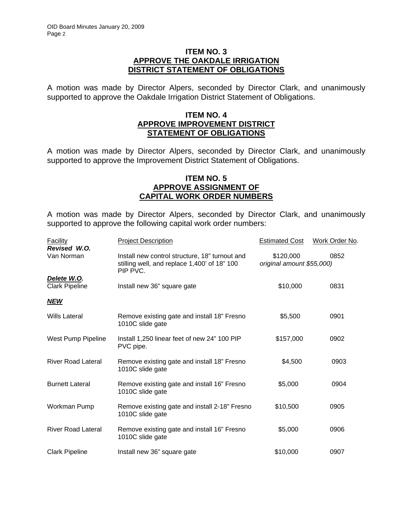### **ITEM NO. 3 APPROVE THE OAKDALE IRRIGATION DISTRICT STATEMENT OF OBLIGATIONS**

A motion was made by Director Alpers, seconded by Director Clark, and unanimously supported to approve the Oakdale Irrigation District Statement of Obligations.

### **ITEM NO. 4 APPROVE IMPROVEMENT DISTRICT STATEMENT OF OBLIGATIONS**

A motion was made by Director Alpers, seconded by Director Clark, and unanimously supported to approve the Improvement District Statement of Obligations.

### **ITEM NO. 5 APPROVE ASSIGNMENT OF CAPITAL WORK ORDER NUMBERS**

A motion was made by Director Alpers, seconded by Director Clark, and unanimously supported to approve the following capital work order numbers:

| <b>Facility</b>           | <b>Project Description</b>                                                                                 | <b>Estimated Cost</b>                          | Work Order No. |
|---------------------------|------------------------------------------------------------------------------------------------------------|------------------------------------------------|----------------|
| Revised W.O.              |                                                                                                            |                                                |                |
| Van Norman                | Install new control structure, 18" turnout and<br>stilling well, and replace 1,400' of 18" 100<br>PIP PVC. | \$120,000<br>0852<br>original amount \$55,000) |                |
| Delete W.O.               |                                                                                                            |                                                |                |
| <b>Clark Pipeline</b>     | Install new 36" square gate                                                                                | \$10,000                                       | 0831           |
| <b>NEW</b>                |                                                                                                            |                                                |                |
| <b>Wills Lateral</b>      | Remove existing gate and install 18" Fresno<br>1010C slide gate                                            | \$5,500                                        | 0901           |
| West Pump Pipeline        | Install 1,250 linear feet of new 24" 100 PIP<br>PVC pipe.                                                  | \$157,000                                      | 0902           |
| <b>River Road Lateral</b> | Remove existing gate and install 18" Fresno<br>1010C slide gate                                            | \$4,500                                        | 0903           |
| <b>Burnett Lateral</b>    | Remove existing gate and install 16" Fresno<br>1010C slide gate                                            | \$5,000                                        | 0904           |
| Workman Pump              | Remove existing gate and install 2-18" Fresno<br>1010C slide gate                                          | \$10,500                                       | 0905           |
| <b>River Road Lateral</b> | Remove existing gate and install 16" Fresno<br>1010C slide gate                                            | \$5,000                                        | 0906           |
| <b>Clark Pipeline</b>     | Install new 36" square gate                                                                                | \$10,000                                       | 0907           |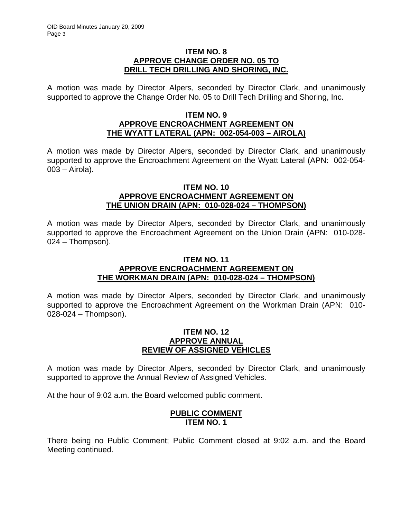### **ITEM NO. 8 APPROVE CHANGE ORDER NO. 05 TO DRILL TECH DRILLING AND SHORING, INC.**

A motion was made by Director Alpers, seconded by Director Clark, and unanimously supported to approve the Change Order No. 05 to Drill Tech Drilling and Shoring, Inc.

### **ITEM NO. 9 APPROVE ENCROACHMENT AGREEMENT ON THE WYATT LATERAL (APN: 002-054-003 – AIROLA)**

A motion was made by Director Alpers, seconded by Director Clark, and unanimously supported to approve the Encroachment Agreement on the Wyatt Lateral (APN: 002-054- 003 – Airola).

#### **ITEM NO. 10 APPROVE ENCROACHMENT AGREEMENT ON THE UNION DRAIN (APN: 010-028-024 – THOMPSON)**

A motion was made by Director Alpers, seconded by Director Clark, and unanimously supported to approve the Encroachment Agreement on the Union Drain (APN: 010-028- 024 – Thompson).

#### **ITEM NO. 11 APPROVE ENCROACHMENT AGREEMENT ON THE WORKMAN DRAIN (APN: 010-028-024 – THOMPSON)**

A motion was made by Director Alpers, seconded by Director Clark, and unanimously supported to approve the Encroachment Agreement on the Workman Drain (APN: 010- 028-024 – Thompson).

### **ITEM NO. 12 APPROVE ANNUAL REVIEW OF ASSIGNED VEHICLES**

A motion was made by Director Alpers, seconded by Director Clark, and unanimously supported to approve the Annual Review of Assigned Vehicles.

At the hour of 9:02 a.m. the Board welcomed public comment.

### **PUBLIC COMMENT ITEM NO. 1**

There being no Public Comment; Public Comment closed at 9:02 a.m. and the Board Meeting continued.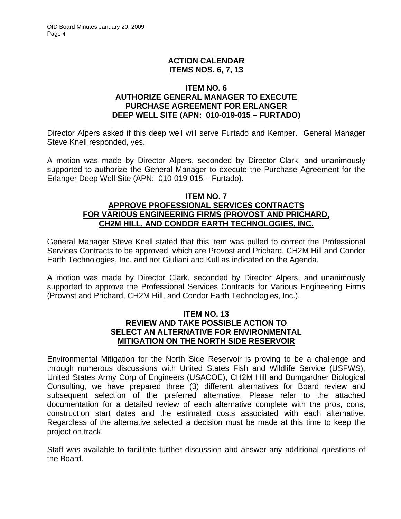## **ACTION CALENDAR ITEMS NOS. 6, 7, 13**

### **ITEM NO. 6 AUTHORIZE GENERAL MANAGER TO EXECUTE PURCHASE AGREEMENT FOR ERLANGER DEEP WELL SITE (APN: 010-019-015 – FURTADO)**

Director Alpers asked if this deep well will serve Furtado and Kemper. General Manager Steve Knell responded, yes.

A motion was made by Director Alpers, seconded by Director Clark, and unanimously supported to authorize the General Manager to execute the Purchase Agreement for the Erlanger Deep Well Site (APN: 010-019-015 – Furtado).

### I**TEM NO. 7 APPROVE PROFESSIONAL SERVICES CONTRACTS FOR VARIOUS ENGINEERING FIRMS (PROVOST AND PRICHARD, CH2M HILL, AND CONDOR EARTH TECHNOLOGIES, INC.**

General Manager Steve Knell stated that this item was pulled to correct the Professional Services Contracts to be approved, which are Provost and Prichard, CH2M Hill and Condor Earth Technologies, Inc. and not Giuliani and Kull as indicated on the Agenda.

A motion was made by Director Clark, seconded by Director Alpers, and unanimously supported to approve the Professional Services Contracts for Various Engineering Firms (Provost and Prichard, CH2M Hill, and Condor Earth Technologies, Inc.).

### **ITEM NO. 13 REVIEW AND TAKE POSSIBLE ACTION TO SELECT AN ALTERNATIVE FOR ENVIRONMENTAL MITIGATION ON THE NORTH SIDE RESERVOIR**

Environmental Mitigation for the North Side Reservoir is proving to be a challenge and through numerous discussions with United States Fish and Wildlife Service (USFWS), United States Army Corp of Engineers (USACOE), CH2M Hill and Bumgardner Biological Consulting, we have prepared three (3) different alternatives for Board review and subsequent selection of the preferred alternative. Please refer to the attached documentation for a detailed review of each alternative complete with the pros, cons, construction start dates and the estimated costs associated with each alternative. Regardless of the alternative selected a decision must be made at this time to keep the project on track.

Staff was available to facilitate further discussion and answer any additional questions of the Board.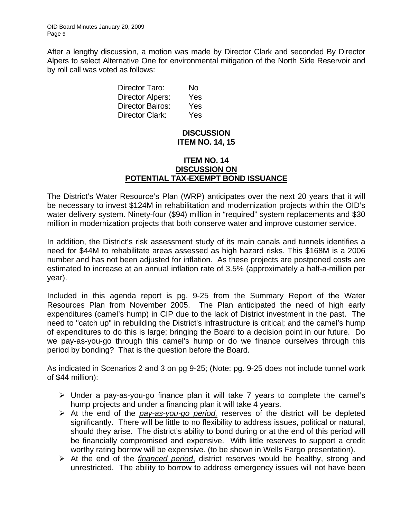After a lengthy discussion, a motion was made by Director Clark and seconded By Director Alpers to select Alternative One for environmental mitigation of the North Side Reservoir and by roll call was voted as follows:

| Director Taro:          | No  |
|-------------------------|-----|
| <b>Director Alpers:</b> | Yes |
| Director Bairos:        | Yes |
| Director Clark:         | Yes |

## **DISCUSSION ITEM NO. 14, 15**

### **ITEM NO. 14 DISCUSSION ON POTENTIAL TAX-EXEMPT BOND ISSUANCE**

The District's Water Resource's Plan (WRP) anticipates over the next 20 years that it will be necessary to invest \$124M in rehabilitation and modernization projects within the OID's water delivery system. Ninety-four (\$94) million in "required" system replacements and \$30 million in modernization projects that both conserve water and improve customer service.

In addition, the District's risk assessment study of its main canals and tunnels identifies a need for \$44M to rehabilitate areas assessed as high hazard risks. This \$168M is a 2006 number and has not been adjusted for inflation. As these projects are postponed costs are estimated to increase at an annual inflation rate of 3.5% (approximately a half-a-million per year).

Included in this agenda report is pg. 9-25 from the Summary Report of the Water Resources Plan from November 2005. The Plan anticipated the need of high early expenditures (camel's hump) in CIP due to the lack of District investment in the past. The need to "catch up" in rebuilding the District's infrastructure is critical; and the camel's hump of expenditures to do this is large; bringing the Board to a decision point in our future. Do we pay-as-you-go through this camel's hump or do we finance ourselves through this period by bonding? That is the question before the Board.

As indicated in Scenarios 2 and 3 on pg 9-25; (Note: pg. 9-25 does not include tunnel work of \$44 million):

- $\triangleright$  Under a pay-as-you-go finance plan it will take 7 years to complete the camel's hump projects and under a financing plan it will take 4 years.
- ¾ At the end of the *pay-as-you-go period,* reserves of the district will be depleted significantly. There will be little to no flexibility to address issues, political or natural, should they arise. The district's ability to bond during or at the end of this period will be financially compromised and expensive. With little reserves to support a credit worthy rating borrow will be expensive. (to be shown in Wells Fargo presentation).
- ¾ At the end of the *financed period*, district reserves would be healthy, strong and unrestricted. The ability to borrow to address emergency issues will not have been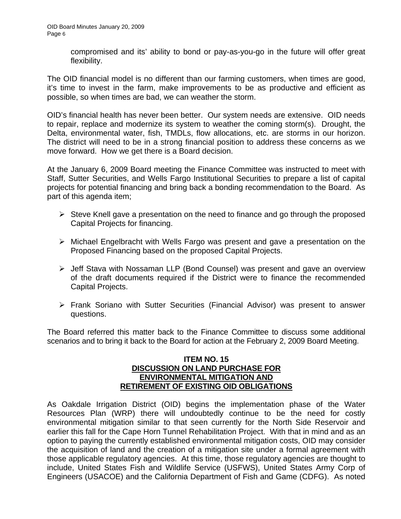compromised and its' ability to bond or pay-as-you-go in the future will offer great flexibility.

The OID financial model is no different than our farming customers, when times are good, it's time to invest in the farm, make improvements to be as productive and efficient as possible, so when times are bad, we can weather the storm.

OID's financial health has never been better. Our system needs are extensive. OID needs to repair, replace and modernize its system to weather the coming storm(s). Drought, the Delta, environmental water, fish, TMDLs, flow allocations, etc. are storms in our horizon. The district will need to be in a strong financial position to address these concerns as we move forward. How we get there is a Board decision.

At the January 6, 2009 Board meeting the Finance Committee was instructed to meet with Staff, Sutter Securities, and Wells Fargo Institutional Securities to prepare a list of capital projects for potential financing and bring back a bonding recommendation to the Board. As part of this agenda item;

- $\triangleright$  Steve Knell gave a presentation on the need to finance and go through the proposed Capital Projects for financing.
- ¾ Michael Engelbracht with Wells Fargo was present and gave a presentation on the Proposed Financing based on the proposed Capital Projects.
- ¾ Jeff Stava with Nossaman LLP (Bond Counsel) was present and gave an overview of the draft documents required if the District were to finance the recommended Capital Projects.
- ¾ Frank Soriano with Sutter Securities (Financial Advisor) was present to answer questions.

The Board referred this matter back to the Finance Committee to discuss some additional scenarios and to bring it back to the Board for action at the February 2, 2009 Board Meeting.

### **ITEM NO. 15 DISCUSSION ON LAND PURCHASE FOR ENVIRONMENTAL MITIGATION AND RETIREMENT OF EXISTING OID OBLIGATIONS**

As Oakdale Irrigation District (OID) begins the implementation phase of the Water Resources Plan (WRP) there will undoubtedly continue to be the need for costly environmental mitigation similar to that seen currently for the North Side Reservoir and earlier this fall for the Cape Horn Tunnel Rehabilitation Project. With that in mind and as an option to paying the currently established environmental mitigation costs, OID may consider the acquisition of land and the creation of a mitigation site under a formal agreement with those applicable regulatory agencies. At this time, those regulatory agencies are thought to include, United States Fish and Wildlife Service (USFWS), United States Army Corp of Engineers (USACOE) and the California Department of Fish and Game (CDFG). As noted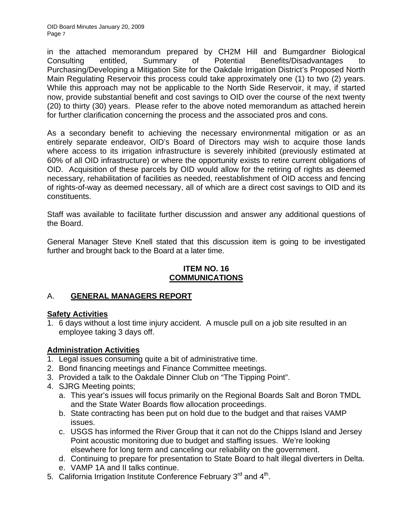in the attached memorandum prepared by CH2M Hill and Bumgardner Biological Consulting entitled, Summary of Potential Benefits/Disadvantages to Purchasing/Developing a Mitigation Site for the Oakdale Irrigation District's Proposed North Main Regulating Reservoir this process could take approximately one (1) to two (2) years. While this approach may not be applicable to the North Side Reservoir, it may, if started now, provide substantial benefit and cost savings to OID over the course of the next twenty (20) to thirty (30) years. Please refer to the above noted memorandum as attached herein for further clarification concerning the process and the associated pros and cons.

As a secondary benefit to achieving the necessary environmental mitigation or as an entirely separate endeavor, OID's Board of Directors may wish to acquire those lands where access to its irrigation infrastructure is severely inhibited (previously estimated at 60% of all OID infrastructure) or where the opportunity exists to retire current obligations of OID. Acquisition of these parcels by OID would allow for the retiring of rights as deemed necessary, rehabilitation of facilities as needed, reestablishment of OID access and fencing of rights-of-way as deemed necessary, all of which are a direct cost savings to OID and its constituents.

Staff was available to facilitate further discussion and answer any additional questions of the Board.

General Manager Steve Knell stated that this discussion item is going to be investigated further and brought back to the Board at a later time.

## **ITEM NO. 16 COMMUNICATIONS**

# A. **GENERAL MANAGERS REPORT**

### **Safety Activities**

1. 6 days without a lost time injury accident. A muscle pull on a job site resulted in an employee taking 3 days off.

## **Administration Activities**

- 1. Legal issues consuming quite a bit of administrative time.
- 2. Bond financing meetings and Finance Committee meetings.
- 3. Provided a talk to the Oakdale Dinner Club on "The Tipping Point".
- 4. SJRG Meeting points;
	- a. This year's issues will focus primarily on the Regional Boards Salt and Boron TMDL and the State Water Boards flow allocation proceedings.
	- b. State contracting has been put on hold due to the budget and that raises VAMP issues.
	- c. USGS has informed the River Group that it can not do the Chipps Island and Jersey Point acoustic monitoring due to budget and staffing issues. We're looking elsewhere for long term and canceling our reliability on the government.
	- d. Continuing to prepare for presentation to State Board to halt illegal diverters in Delta.
	- e. VAMP 1A and II talks continue.
- 5. California Irrigation Institute Conference February 3<sup>rd</sup> and 4<sup>th</sup>.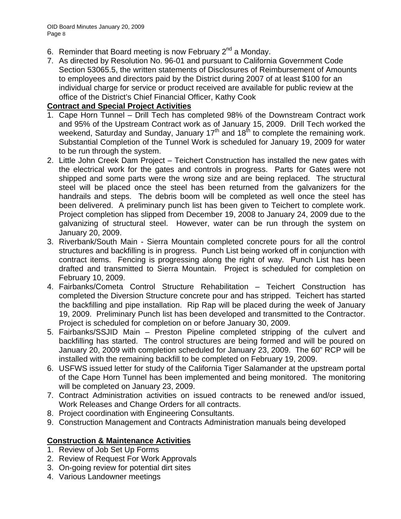- 6. Reminder that Board meeting is now February  $2^{nd}$  a Monday.
- 7. As directed by Resolution No. 96-01 and pursuant to California Government Code Section 53065.5, the written statements of Disclosures of Reimbursement of Amounts to employees and directors paid by the District during 2007 of at least \$100 for an individual charge for service or product received are available for public review at the office of the District's Chief Financial Officer, Kathy Cook

## **Contract and Special Project Activities**

- 1. Cape Horn Tunnel Drill Tech has completed 98% of the Downstream Contract work and 95% of the Upstream Contract work as of January 15, 2009. Drill Tech worked the weekend, Saturday and Sunday, January  $17<sup>th</sup>$  and  $18<sup>th</sup>$  to complete the remaining work. Substantial Completion of the Tunnel Work is scheduled for January 19, 2009 for water to be run through the system.
- 2. Little John Creek Dam Project Teichert Construction has installed the new gates with the electrical work for the gates and controls in progress. Parts for Gates were not shipped and some parts were the wrong size and are being replaced. The structural steel will be placed once the steel has been returned from the galvanizers for the handrails and steps. The debris boom will be completed as well once the steel has been delivered. A preliminary punch list has been given to Teichert to complete work. Project completion has slipped from December 19, 2008 to January 24, 2009 due to the galvanizing of structural steel. However, water can be run through the system on January 20, 2009.
- 3. Riverbank/South Main Sierra Mountain completed concrete pours for all the control structures and backfilling is in progress. Punch List being worked off in conjunction with contract items. Fencing is progressing along the right of way. Punch List has been drafted and transmitted to Sierra Mountain. Project is scheduled for completion on February 10, 2009.
- 4. Fairbanks/Cometa Control Structure Rehabilitation Teichert Construction has completed the Diversion Structure concrete pour and has stripped. Teichert has started the backfilling and pipe installation. Rip Rap will be placed during the week of January 19, 2009. Preliminary Punch list has been developed and transmitted to the Contractor. Project is scheduled for completion on or before January 30, 2009.
- 5. Fairbanks/SSJID Main Preston Pipeline completed stripping of the culvert and backfilling has started. The control structures are being formed and will be poured on January 20, 2009 with completion scheduled for January 23, 2009. The 60" RCP will be installed with the remaining backfill to be completed on February 19, 2009.
- 6. USFWS issued letter for study of the California Tiger Salamander at the upstream portal of the Cape Horn Tunnel has been implemented and being monitored. The monitoring will be completed on January 23, 2009.
- 7. Contract Administration activities on issued contracts to be renewed and/or issued, Work Releases and Change Orders for all contracts.
- 8. Project coordination with Engineering Consultants.
- 9. Construction Management and Contracts Administration manuals being developed

## **Construction & Maintenance Activities**

- 1. Review of Job Set Up Forms
- 2. Review of Request For Work Approvals
- 3. On-going review for potential dirt sites
- 4. Various Landowner meetings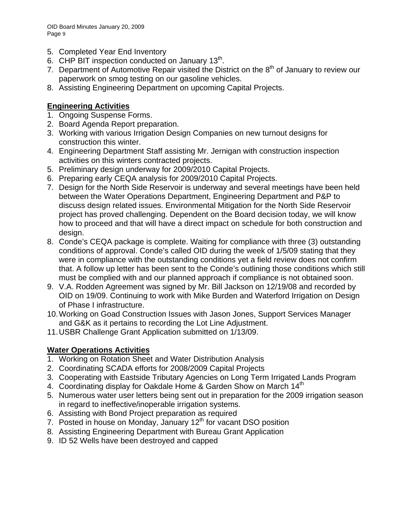OID Board Minutes January 20, 2009 Page 9

- 5. Completed Year End Inventory
- 6. CHP BIT inspection conducted on January  $13<sup>th</sup>$ .
- 7. Department of Automotive Repair visited the District on the  $8<sup>th</sup>$  of January to review our paperwork on smog testing on our gasoline vehicles.
- 8. Assisting Engineering Department on upcoming Capital Projects.

## **Engineering Activities**

- 1. Ongoing Suspense Forms.
- 2. Board Agenda Report preparation.
- 3. Working with various Irrigation Design Companies on new turnout designs for construction this winter.
- 4. Engineering Department Staff assisting Mr. Jernigan with construction inspection activities on this winters contracted projects.
- 5. Preliminary design underway for 2009/2010 Capital Projects.
- 6. Preparing early CEQA analysis for 2009/2010 Capital Projects.
- 7. Design for the North Side Reservoir is underway and several meetings have been held between the Water Operations Department, Engineering Department and P&P to discuss design related issues. Environmental Mitigation for the North Side Reservoir project has proved challenging. Dependent on the Board decision today, we will know how to proceed and that will have a direct impact on schedule for both construction and design.
- 8. Conde's CEQA package is complete. Waiting for compliance with three (3) outstanding conditions of approval. Conde's called OID during the week of 1/5/09 stating that they were in compliance with the outstanding conditions yet a field review does not confirm that. A follow up letter has been sent to the Conde's outlining those conditions which still must be complied with and our planned approach if compliance is not obtained soon.
- 9. V.A. Rodden Agreement was signed by Mr. Bill Jackson on 12/19/08 and recorded by OID on 19/09. Continuing to work with Mike Burden and Waterford Irrigation on Design of Phase I infrastructure.
- 10. Working on Goad Construction Issues with Jason Jones, Support Services Manager and G&K as it pertains to recording the Lot Line Adjustment.
- 11. USBR Challenge Grant Application submitted on 1/13/09.

## **Water Operations Activities**

- 1. Working on Rotation Sheet and Water Distribution Analysis
- 2. Coordinating SCADA efforts for 2008/2009 Capital Projects
- 3. Cooperating with Eastside Tributary Agencies on Long Term Irrigated Lands Program
- 4. Coordinating display for Oakdale Home & Garden Show on March 14<sup>th</sup>
- 5. Numerous water user letters being sent out in preparation for the 2009 irrigation season in regard to ineffective/inoperable irrigation systems.
- 6. Assisting with Bond Project preparation as required
- 7. Posted in house on Monday, January 12<sup>th</sup> for vacant DSO position
- 8. Assisting Engineering Department with Bureau Grant Application
- 9. ID 52 Wells have been destroyed and capped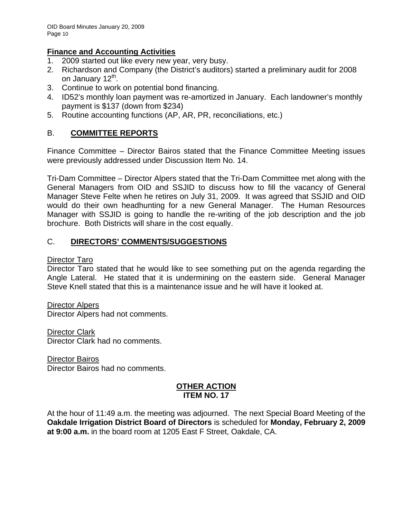## **Finance and Accounting Activities**

- 1. 2009 started out like every new year, very busy.
- 2. Richardson and Company (the District's auditors) started a preliminary audit for 2008 on January 12<sup>th</sup>.
- 3. Continue to work on potential bond financing.
- 4. ID52's monthly loan payment was re-amortized in January. Each landowner's monthly payment is \$137 (down from \$234)
- 5. Routine accounting functions (AP, AR, PR, reconciliations, etc.)

# B. **COMMITTEE REPORTS**

Finance Committee – Director Bairos stated that the Finance Committee Meeting issues were previously addressed under Discussion Item No. 14.

Tri-Dam Committee – Director Alpers stated that the Tri-Dam Committee met along with the General Managers from OID and SSJID to discuss how to fill the vacancy of General Manager Steve Felte when he retires on July 31, 2009. It was agreed that SSJID and OID would do their own headhunting for a new General Manager. The Human Resources Manager with SSJID is going to handle the re-writing of the job description and the job brochure. Both Districts will share in the cost equally.

# C. **DIRECTORS' COMMENTS/SUGGESTIONS**

### Director Taro

Director Taro stated that he would like to see something put on the agenda regarding the Angle Lateral. He stated that it is undermining on the eastern side. General Manager Steve Knell stated that this is a maintenance issue and he will have it looked at.

Director Alpers Director Alpers had not comments.

Director Clark Director Clark had no comments.

Director Bairos Director Bairos had no comments.

### **OTHER ACTION ITEM NO. 17**

At the hour of 11:49 a.m. the meeting was adjourned. The next Special Board Meeting of the **Oakdale Irrigation District Board of Directors** is scheduled for **Monday, February 2, 2009 at 9:00 a.m.** in the board room at 1205 East F Street, Oakdale, CA.